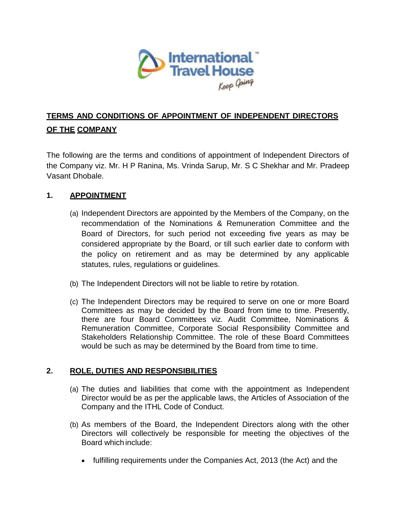

# **TERMS AND CONDITIONS OF APPOINTMENT OF INDEPENDENT DIRECTORS OF THE COMPANY**

The following are the terms and conditions of appointment of Independent Directors of the Company viz. Mr. H P Ranina, Ms. Vrinda Sarup, Mr. S C Shekhar and Mr. Pradeep Vasant Dhobale.

# **1. APPOINTMENT**

- (a) Independent Directors are appointed by the Members of the Company, on the recommendation of the Nominations & Remuneration Committee and the Board of Directors, for such period not exceeding five years as may be considered appropriate by the Board, or till such earlier date to conform with the policy on retirement and as may be determined by any applicable statutes, rules, regulations or guidelines.
- (b) The Independent Directors will not be liable to retire by rotation.
- (c) The Independent Directors may be required to serve on one or more Board Committees as may be decided by the Board from time to time. Presently, there are four Board Committees viz. Audit Committee, Nominations & Remuneration Committee, Corporate Social Responsibility Committee and Stakeholders Relationship Committee. The role of these Board Committees would be such as may be determined by the Board from time to time.

## **2. ROLE, DUTIES AND RESPONSIBILITIES**

- (a) The duties and liabilities that come with the appointment as Independent Director would be as per the applicable laws, the Articles of Association of the Company and the ITHL Code of Conduct.
- (b) As members of the Board, the Independent Directors along with the other Directors will collectively be responsible for meeting the objectives of the Board which include:
	- fulfilling requirements under the Companies Act, 2013 (the Act) and the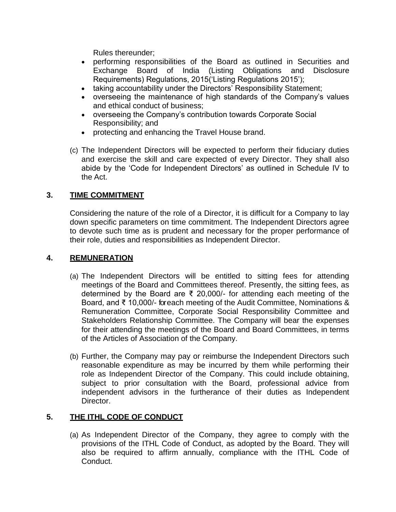Rules thereunder;

- performing responsibilities of the Board as outlined in Securities and Exchange Board of India (Listing Obligations and Disclosure Requirements) Regulations, 2015('Listing Regulations 2015');
- taking accountability under the Directors' Responsibility Statement;
- overseeing the maintenance of high standards of the Company's values and ethical conduct of business;
- overseeing the Company's contribution towards Corporate Social Responsibility; and
- protecting and enhancing the Travel House brand.
- (c) The Independent Directors will be expected to perform their fiduciary duties and exercise the skill and care expected of every Director. They shall also abide by the 'Code for Independent Directors' as outlined in Schedule IV to the Act.

# **3. TIME COMMITMENT**

Considering the nature of the role of a Director, it is difficult for a Company to lay down specific parameters on time commitment. The Independent Directors agree to devote such time as is prudent and necessary for the proper performance of their role, duties and responsibilities as Independent Director.

## **4. REMUNERATION**

- (a) The Independent Directors will be entitled to sitting fees for attending meetings of the Board and Committees thereof. Presently, the sitting fees, as determined by the Board are ₹ 20,000/- for attending each meeting of the Board, and ₹ 10,000/- for each meeting of the Audit Committee, Nominations & Remuneration Committee, Corporate Social Responsibility Committee and Stakeholders Relationship Committee. The Company will bear the expenses for their attending the meetings of the Board and Board Committees, in terms of the Articles of Association of the Company.
- (b) Further, the Company may pay or reimburse the Independent Directors such reasonable expenditure as may be incurred by them while performing their role as Independent Director of the Company. This could include obtaining, subject to prior consultation with the Board, professional advice from independent advisors in the furtherance of their duties as Independent Director.

## **5. THE ITHL CODE OF CONDUCT**

(a) As Independent Director of the Company, they agree to comply with the provisions of the ITHL Code of Conduct, as adopted by the Board. They will also be required to affirm annually, compliance with the ITHL Code of Conduct.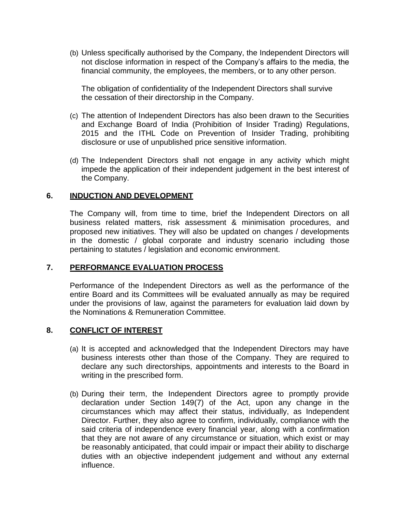(b) Unless specifically authorised by the Company, the Independent Directors will not disclose information in respect of the Company's affairs to the media, the financial community, the employees, the members, or to any other person.

The obligation of confidentiality of the Independent Directors shall survive the cessation of their directorship in the Company.

- (c) The attention of Independent Directors has also been drawn to the Securities and Exchange Board of India (Prohibition of Insider Trading) Regulations, 2015 and the ITHL Code on Prevention of Insider Trading, prohibiting disclosure or use of unpublished price sensitive information.
- (d) The Independent Directors shall not engage in any activity which might impede the application of their independent judgement in the best interest of the Company.

#### **6. INDUCTION AND DEVELOPMENT**

The Company will, from time to time, brief the Independent Directors on all business related matters, risk assessment & minimisation procedures, and proposed new initiatives. They will also be updated on changes / developments in the domestic / global corporate and industry scenario including those pertaining to statutes / legislation and economic environment.

#### **7. PERFORMANCE EVALUATION PROCESS**

Performance of the Independent Directors as well as the performance of the entire Board and its Committees will be evaluated annually as may be required under the provisions of law, against the parameters for evaluation laid down by the Nominations & Remuneration Committee.

#### **8. CONFLICT OF INTEREST**

- (a) It is accepted and acknowledged that the Independent Directors may have business interests other than those of the Company. They are required to declare any such directorships, appointments and interests to the Board in writing in the prescribed form.
- (b) During their term, the Independent Directors agree to promptly provide declaration under Section 149(7) of the Act, upon any change in the circumstances which may affect their status, individually, as Independent Director. Further, they also agree to confirm, individually, compliance with the said criteria of independence every financial year, along with a confirmation that they are not aware of any circumstance or situation, which exist or may be reasonably anticipated, that could impair or impact their ability to discharge duties with an objective independent judgement and without any external influence.